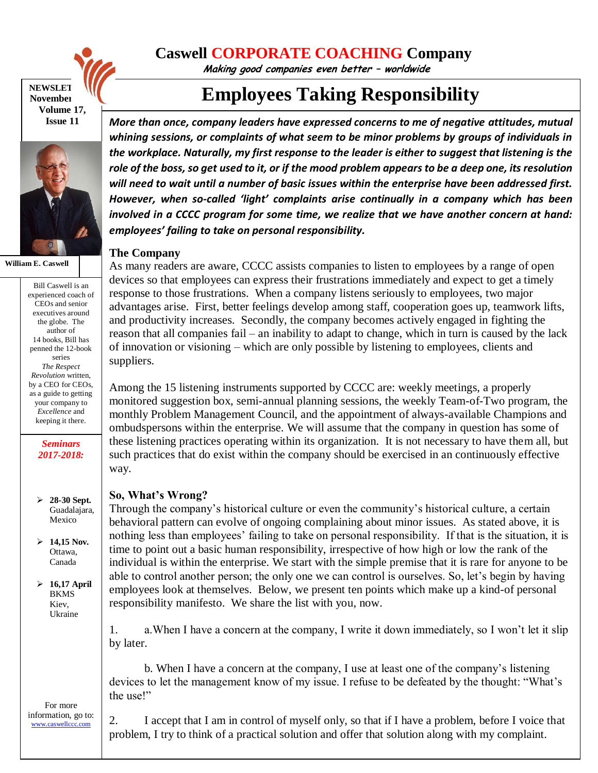

#### **NEWSLET November Volume 17, Issue 11**



**William E. Caswell**

Bill Caswell is an experienced coach of CEOs and senior executives around the globe. The author of 14 books, Bill has penned the 12-book series *The Respect Revolution* written, by a CEO for CEOs, as a guide to getting your company to *Excellence* and keeping it there.

> *Seminars 2017-2018:*

 **28-30 Sept.**  Guadalajara, Mexico

 **14,15 Nov.** Ottawa, Canada

 **16,17 April**  BKMS Kiev, Ukraine

For more information, go to: [www.caswellccc.com](http://www.caswellccc.com/)

## **Caswell CORPORATE COACHING Company**

**Making good companies even better – worldwide**

# **Employees Taking Responsibility**

*More than once, company leaders have expressed concerns to me of negative attitudes, mutual whining sessions, or complaints of what seem to be minor problems by groups of individuals in the workplace. Naturally, my first response to the leader is either to suggest that listening is the role of the boss, so get used to it, or if the mood problem appears to be a deep one, its resolution will need to wait until a number of basic issues within the enterprise have been addressed first. However, when so-called 'light' complaints arise continually in a company which has been involved in a CCCC program for some time, we realize that we have another concern at hand: employees' failing to take on personal responsibility.*

### **The Company**

As many readers are aware, CCCC assists companies to listen to employees by a range of open devices so that employees can express their frustrations immediately and expect to get a timely response to those frustrations. When a company listens seriously to employees, two major advantages arise. First, better feelings develop among staff, cooperation goes up, teamwork lifts, and productivity increases. Secondly, the company becomes actively engaged in fighting the reason that all companies fail – an inability to adapt to change, which in turn is caused by the lack of innovation or visioning – which are only possible by listening to employees, clients and suppliers.

Among the 15 listening instruments supported by CCCC are: weekly meetings, a properly monitored suggestion box, semi-annual planning sessions, the weekly Team-of-Two program, the monthly Problem Management Council, and the appointment of always-available Champions and ombudspersons within the enterprise. We will assume that the company in question has some of these listening practices operating within its organization. It is not necessary to have them all, but such practices that do exist within the company should be exercised in an continuously effective way.

### **So, What's Wrong?**

Through the company's historical culture or even the community's historical culture, a certain behavioral pattern can evolve of ongoing complaining about minor issues. As stated above, it is nothing less than employees' failing to take on personal responsibility. If that is the situation, it is time to point out a basic human responsibility, irrespective of how high or low the rank of the individual is within the enterprise. We start with the simple premise that it is rare for anyone to be able to control another person; the only one we can control is ourselves. So, let's begin by having employees look at themselves. Below, we present ten points which make up a kind-of personal responsibility manifesto. We share the list with you, now.

1. a.When I have a concern at the company, I write it down immediately, so I won't let it slip by later.

b. When I have a concern at the company, I use at least one of the company's listening devices to let the management know of my issue. I refuse to be defeated by the thought: "What's the use!"

2. I accept that I am in control of myself only, so that if I have a problem, before I voice that problem, I try to think of a practical solution and offer that solution along with my complaint.